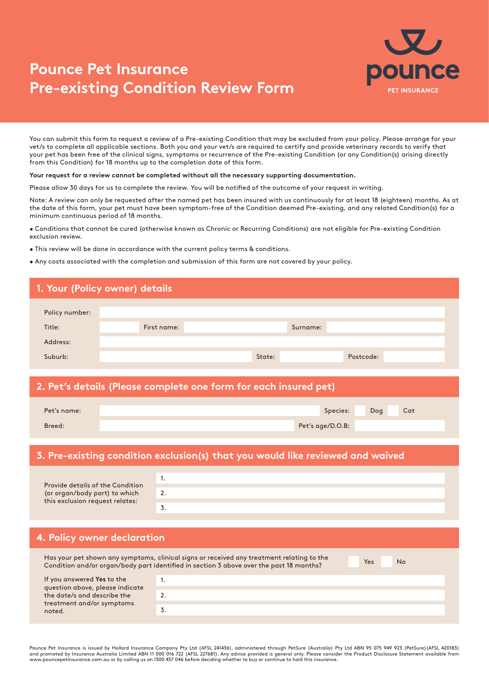# **Pounce Pet Insurance Pre-existing Condition Review Form**



You can submit this form to request a review of a Pre-existing Condition that may be excluded from your policy. Please arrange for your vet/s to complete all applicable sections. Both you and your vet/s are required to certify and provide veterinary records to verify that your pet has been free of the clinical signs, symptoms or recurrence of the Pre-existing Condition (or any Condition(s) arising directly from this Condition) for 18 months up to the completion date of this form.

**Your request for a review cannot be completed without all the necessary supporting documentation.**

Please allow 30 days for us to complete the review. You will be notified of the outcome of your request in writing.

Note: A review can only be requested after the named pet has been insured with us continuously for at least 18 (eighteen) months. As at the date of this form, your pet must have been symptom-free of the Condition deemed Pre-existing, and any related Condition(s) for a minimum continuous period of 18 months.

• Conditions that cannot be cured (otherwise known as Chronic or Recurring Conditions) are not eligible for Pre-existing Condition exclusion review.

- This review will be done in accordance with the current policy terms & conditions.
- Any costs associated with the completion and submission of this form are not covered by your policy.

## Surname: Policy number: Address: Suburb: Title: Title: Title: Title: Title: Title: Title: Title: Title: Title: Title: Title: Title: Title: Title: Title: Title: Title: Title: Title: Title: Title: Title: Title: Title: Title: Title: Title: Title: Title: Title: Title **1. Your (Policy owner) details** State: Postcode: **2. Pet's details (Please complete one form for each insured pet)**

| Species:<br>Cat<br>Dog<br>Pet's name: |        |                  |  |
|---------------------------------------|--------|------------------|--|
|                                       |        |                  |  |
|                                       | Breed: | Pet's age/D.O.B: |  |

#### **3. Pre-existing condition exclusion(s) that you would like reviewed and waived**

| Provide details of the Condition |    |
|----------------------------------|----|
| (or organ/body part) to which    | 2. |
| this exclusion request relates:  |    |
|                                  |    |

| 4. Policy owner declaration |
|-----------------------------|
|-----------------------------|

Has your pet shown any symptoms, clinical signs or received any treatment relating to the Condition and/or organ/body part identified in section 3 above over the past 18 months?

Yes No

| If you answered Yes to the<br>question above, please indicate |     |
|---------------------------------------------------------------|-----|
| the date/s and describe the                                   | . ـ |
| treatment and/or symptoms<br>noted.                           | J.  |

Pounce Pet Insurance is issued by Hollard Insurance Company Pty Ltd (AFSL 241436), administered through PetSure (Australia) Pty Ltd ABN 95 075 949 923 (PetSure)(AFSL 420183)<br>and promoted by Insurance Australia Limited ABN www.pouncepetinsurance.com.au or by calling us on 1300 457 046 before deciding whether to buy or continue to hold this insurance.